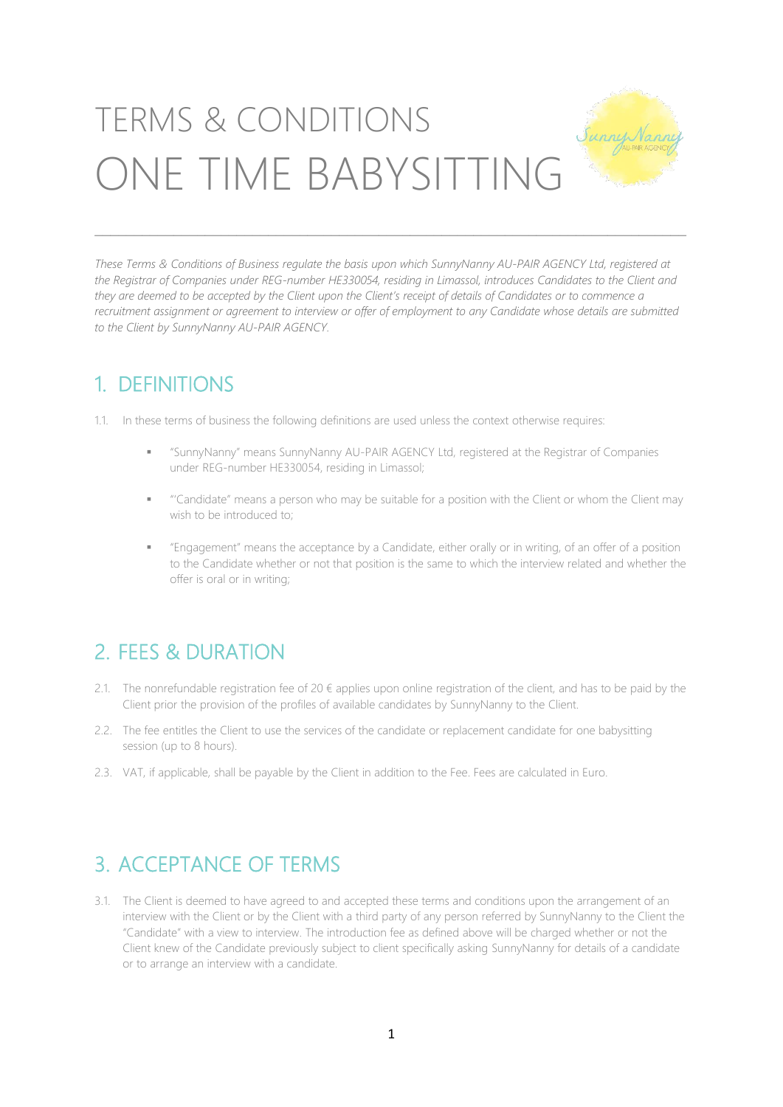# TERMS & CONDITIONS ONE TIME BABYSITTING

These Terms & Conditions of Business regulate the basis upon which SunnyNanny AU-PAIR AGENCY Ltd, registered at the Registrar of Companies under REG-number HE330054, residing in Limassol, introduces Candidates to the Client and they are deemed to be accepted by the Client upon the Client's receipt of details of Candidates or to commence a recruitment assignment or gareement to interview or offer of employment to any Candidate whose details are submitted *to the Client by SunnyNanny AU-PAIR AGENCY.*

\_\_\_\_\_\_\_\_\_\_\_\_\_\_\_\_\_\_\_\_\_\_\_\_\_\_\_\_\_\_\_\_\_\_\_\_\_\_\_\_\_\_\_\_\_\_\_\_\_\_\_\_\_\_\_\_\_\_\_\_\_\_\_\_\_\_\_\_\_\_\_\_\_\_\_

#### 1. DEFINITIONS

1.1. In these terms of business the following definitions are used unless the context otherwise requires:

- "SunnyNanny" means SunnyNanny AU-PAIR AGENCY Ltd, registered at the Registrar of Companies under REG-number HE330054, residing in Limassol;
- "'Candidate" means a person who may be suitable for a position with the Client or whom the Client may wish to be introduced to;
- "Engagement" means the acceptance by a Candidate, either orally or in writing, of an offer of a position to the Candidate whether or not that position is the same to which the interview related and whether the offer is oral or in writing;

# 2. FEES & DURATION

- 2.1. The nonrefundable registration fee of 20  $\epsilon$  applies upon online registration of the client, and has to be paid by the Client prior the provision of the profiles of available candidates by SunnyNanny to the Client.
- 2.2. The fee entitles the Client to use the services of the candidate or replacement candidate for one babysitting session (up to 8 hours).
- 2.3. VAT, if applicable, shall be payable by the Client in addition to the Fee. Fees are calculated in Euro.

### 3. ACCEPTANCE OF TERMS

3.1. The Client is deemed to have agreed to and accepted these terms and conditions upon the arrangement of an interview with the Client or by the Client with a third party of any person referred by SunnyNanny to the Client the "Candidate" with a view to interview. The introduction fee as defined above will be charged whether or not the Client knew of the Candidate previously subject to client specifically asking SunnyNanny for details of a candidate or to arrange an interview with a candidate.